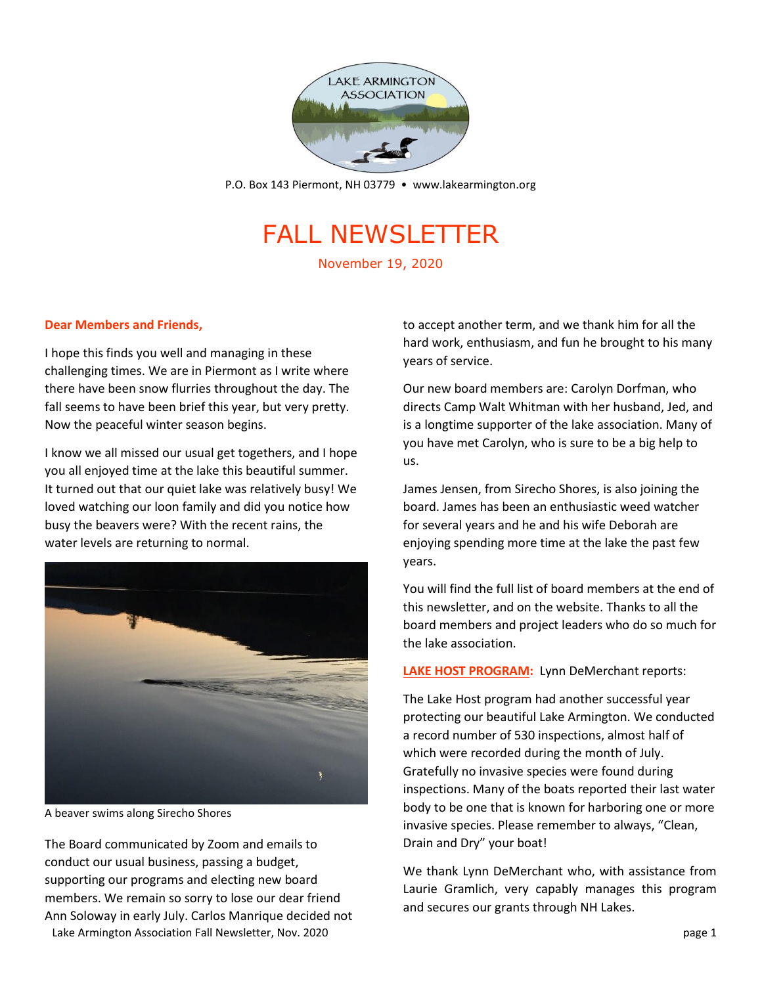

P.O. Box 143 Piermont, NH 03779 • [www.lakearmington.org](http://www.lakearmington.org/)

# FALL NEWSLETTER

November 19, 2020

### **Dear Members and Friends,**

I hope this finds you well and managing in these challenging times. We are in Piermont as I write where there have been snow flurries throughout the day. The fall seems to have been brief this year, but very pretty. Now the peaceful winter season begins.

I know we all missed our usual get togethers, and I hope you all enjoyed time at the lake this beautiful summer. It turned out that our quiet lake was relatively busy! We loved watching our loon family and did you notice how busy the beavers were? With the recent rains, the water levels are returning to normal.



A beaver swims along Sirecho Shores

Lake Armington Association Fall Newsletter, Nov. 2020 **page 1** and the state of the state of the state of the state of the state of the state of the state of the state of the state of the state of the state of the state of The Board communicated by Zoom and emails to conduct our usual business, passing a budget, supporting our programs and electing new board members. We remain so sorry to lose our dear friend Ann Soloway in early July. Carlos Manrique decided not

to accept another term, and we thank him for all the hard work, enthusiasm, and fun he brought to his many years of service.

Our new board members are: Carolyn Dorfman, who directs Camp Walt Whitman with her husband, Jed, and is a longtime supporter of the lake association. Many of you have met Carolyn, who is sure to be a big help to us.

James Jensen, from Sirecho Shores, is also joining the board. James has been an enthusiastic weed watcher for several years and he and his wife Deborah are enjoying spending more time at the lake the past few years.

You will find the full list of board members at the end of this newsletter, and on the website. Thanks to all the board members and project leaders who do so much for the lake association.

**LAKE HOST PROGRAM:** Lynn DeMerchant reports:

The Lake Host program had another successful year protecting our beautiful Lake Armington. We conducted a record number of 530 inspections, almost half of which were recorded during the month of July. Gratefully no invasive species were found during inspections. Many of the boats reported their last water body to be one that is known for harboring one or more invasive species. Please remember to always, "Clean, Drain and Dry" your boat!

We thank Lynn DeMerchant who, with assistance from Laurie Gramlich, very capably manages this program and secures our grants through NH Lakes.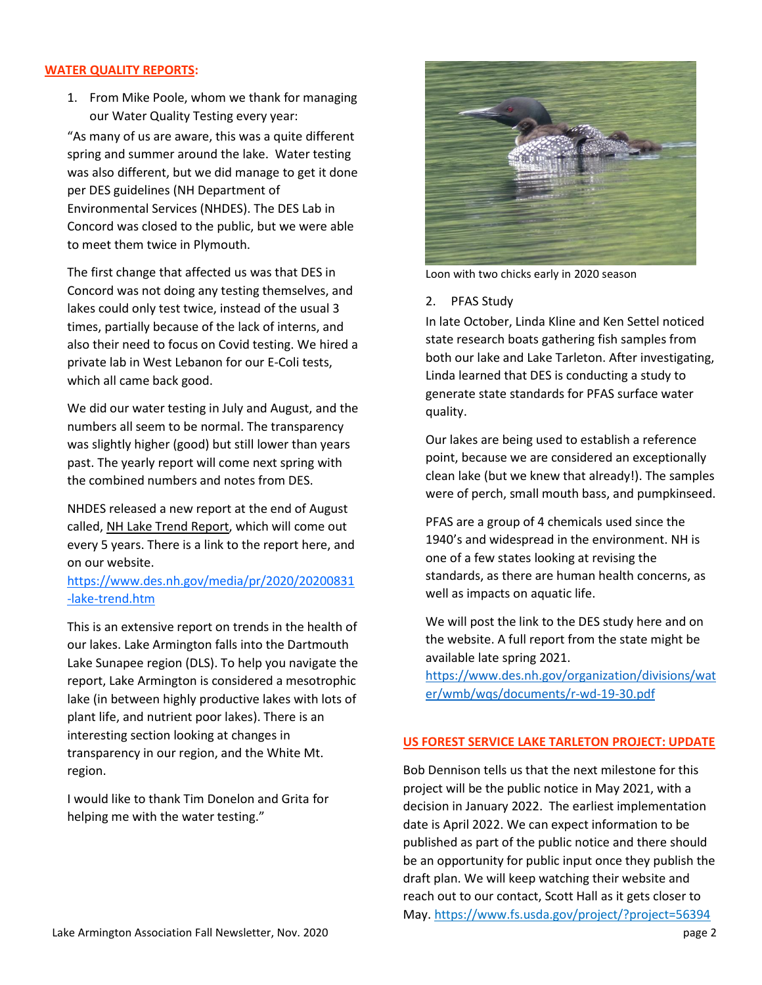#### **WATER QUALITY REPORTS:**

1. From Mike Poole, whom we thank for managing our Water Quality Testing every year:

"As many of us are aware, this was a quite different spring and summer around the lake. Water testing was also different, but we did manage to get it done per DES guidelines (NH Department of Environmental Services (NHDES). The DES Lab in Concord was closed to the public, but we were able to meet them twice in Plymouth.

The first change that affected us was that DES in Concord was not doing any testing themselves, and lakes could only test twice, instead of the usual 3 times, partially because of the lack of interns, and also their need to focus on Covid testing. We hired a private lab in West Lebanon for our E-Coli tests, which all came back good.

We did our water testing in July and August, and the numbers all seem to be normal. The transparency was slightly higher (good) but still lower than years past. The yearly report will come next spring with the combined numbers and notes from DES.

NHDES released a new report at the end of August called, NH Lake Trend Report, which will come out every 5 years. There is a link to the report here, and on our website.

## https://www.des.nh.gov/media/pr/2020/20200831 -lake-trend.htm

This is an extensive report on trends in the health of our lakes. Lake Armington falls into the Dartmouth Lake Sunapee region (DLS). To help you navigate the report, Lake Armington is considered a mesotrophic lake (in between highly productive lakes with lots of plant life, and nutrient poor lakes). There is an interesting section looking at changes in transparency in our region, and the White Mt. region.

I would like to thank Tim Donelon and Grita for helping me with the water testing."



Loon with two chicks early in 2020 season

#### 2. PFAS Study

In late October, Linda Kline and Ken Settel noticed state research boats gathering fish samples from both our lake and Lake Tarleton. After investigating, Linda learned that DES is conducting a study to generate state standards for PFAS surface water quality.

Our lakes are being used to establish a reference point, because we are considered an exceptionally clean lake (but we knew that already!). The samples were of perch, small mouth bass, and pumpkinseed.

PFAS are a group of 4 chemicals used since the 1940's and widespread in the environment. NH is one of a few states looking at revising the standards, as there are human health concerns, as well as impacts on aquatic life.

We will post the link to the DES study here and on the website. A full report from the state might be available late spring 2021.

[https://www.des.nh.gov/organization/divisions/wat](https://www.des.nh.gov/organization/divisions/water/wmb/wqs/documents/r-wd-19-30.pdf) [er/wmb/wqs/documents/r-wd-19-30.pdf](https://www.des.nh.gov/organization/divisions/water/wmb/wqs/documents/r-wd-19-30.pdf)

#### **US FOREST SERVICE LAKE TARLETON PROJECT: UPDATE**

Bob Dennison tells us that the next milestone for this project will be the public notice in May 2021, with a decision in January 2022. The earliest implementation date is April 2022. We can expect information to be published as part of the public notice and there should be an opportunity for public input once they publish the draft plan. We will keep watching their website and reach out to our contact, Scott Hall as it gets closer to May. https://www.fs.usda.gov/project/?project=56394